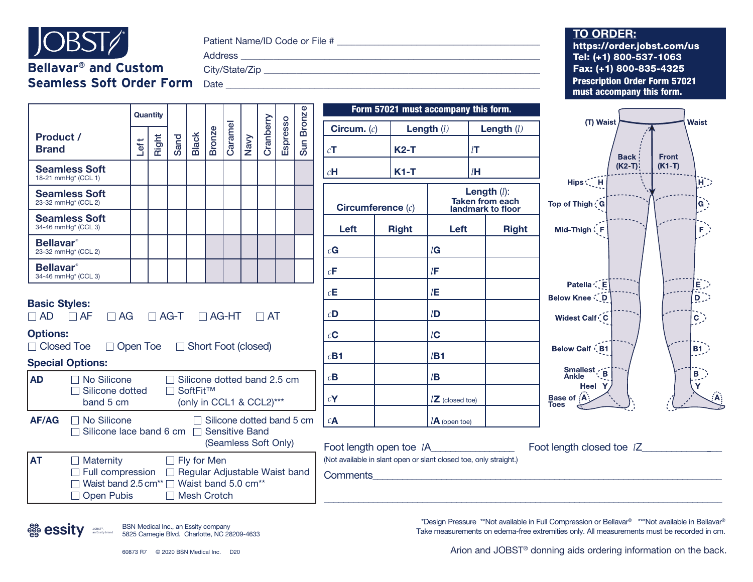

Patient Name/ID Code or File # \_\_\_\_\_\_\_\_\_\_\_\_\_\_\_\_\_\_\_\_\_\_\_\_\_\_\_\_\_\_\_\_\_\_\_\_\_\_\_\_\_\_\_\_\_\_

**Bellavar® and Custom**  Address \_\_\_\_\_\_\_\_\_\_\_\_\_\_\_\_\_\_\_\_\_\_\_\_\_\_\_\_\_\_\_\_\_\_\_\_\_\_\_\_\_\_\_\_\_\_\_\_\_\_\_\_\_\_\_\_\_\_\_\_\_\_\_\_\_\_\_

**Seamless Soft Order Form** Date \_\_\_\_\_\_\_\_\_\_\_\_\_\_\_\_\_\_\_\_\_\_\_\_\_\_\_\_\_\_\_\_\_\_\_\_\_\_\_\_\_\_\_\_\_\_\_\_\_\_\_\_\_\_\_\_\_\_\_\_\_\_\_\_\_\_\_\_\_\_

City/State/Zip \_\_\_\_\_\_\_\_\_\_\_\_\_\_\_\_\_\_\_\_\_\_\_\_\_\_\_\_\_\_\_\_\_\_\_\_\_\_\_\_\_\_\_\_\_\_\_\_\_\_\_\_\_\_\_\_\_\_\_\_\_\_

| Quantity                                            |                                                                                                                                                                                        |      |       |                                     |              |               |         |      |                                    |                 |                  |                                                                                      |              |                            | Form 57021 must accompany this form.                                 |                                                                        |  |
|-----------------------------------------------------|----------------------------------------------------------------------------------------------------------------------------------------------------------------------------------------|------|-------|-------------------------------------|--------------|---------------|---------|------|------------------------------------|-----------------|------------------|--------------------------------------------------------------------------------------|--------------|----------------------------|----------------------------------------------------------------------|------------------------------------------------------------------------|--|
| Product /                                           |                                                                                                                                                                                        |      |       |                                     |              |               |         |      |                                    |                 | <b>Bronze</b>    | Circum. $(c)$                                                                        |              | Length $(l)$               | Length $(l)$                                                         | (T) Waist<br><b>Waist</b>                                              |  |
| <b>Brand</b>                                        |                                                                                                                                                                                        | Left | Right | Sand                                | <b>Black</b> | <b>Bronze</b> | Caramel | Navy | Cranberry                          | <b>Espresso</b> | Sun <sup>1</sup> | cT                                                                                   | $K2-T$       |                            | $l$ T                                                                | <b>Back</b><br><b>Front</b>                                            |  |
| 18-21 mmHq* (CCL 1)                                 | <b>Seamless Soft</b>                                                                                                                                                                   |      |       |                                     |              |               |         |      |                                    |                 |                  | $c$ H                                                                                | $K1-T$       |                            | lH                                                                   | $(K2-T)$<br>$(K1-T)$<br>Hips C <sub>L</sub> H<br>ЮD                    |  |
| 23-32 mmHg* (CCL 2)                                 | <b>Seamless Soft</b>                                                                                                                                                                   |      |       |                                     |              |               |         |      |                                    |                 |                  | Circumference $(c)$                                                                  |              |                            | <b>Length</b> $(l)$ :<br><b>Taken from each</b><br>landmark to floor | Top of Thigh (G<br> G `                                                |  |
| 34-46 mmHg* (CCL 3)                                 | <b>Seamless Soft</b>                                                                                                                                                                   |      |       |                                     |              |               |         |      |                                    |                 |                  | Left                                                                                 | <b>Right</b> | Left                       | <b>Right</b>                                                         | Mid-Thigh (F<br>F.)                                                    |  |
| <b>Bellavar</b> <sup>®</sup><br>23-32 mmHg* (CCL 2) |                                                                                                                                                                                        |      |       |                                     |              |               |         |      |                                    |                 |                  | cG                                                                                   |              | lG                         |                                                                      |                                                                        |  |
| <b>Bellavar</b> <sup>®</sup><br>34-46 mmHg* (CCL 3) |                                                                                                                                                                                        |      |       |                                     |              |               |         |      |                                    |                 |                  | $c\mathbf{F}$                                                                        |              | $l$ F                      |                                                                      |                                                                        |  |
| <b>Basic Styles:</b>                                |                                                                                                                                                                                        |      |       |                                     |              |               |         |      |                                    |                 |                  | $c\mathbf{E}$                                                                        |              | $l\mathsf{E}$              |                                                                      | Patella CE<br>E)<br>$\overline{\mathsf{D}}$ )<br><b>Below Knee (D)</b> |  |
| $\Box$ AD $\Box$ AF                                 | $\Box$ AG                                                                                                                                                                              |      |       | $\Box$ AG-T                         |              | $\Box$ AG-HT  |         |      | $\Box$ AT                          |                 |                  | $c$ D                                                                                |              | l <b>D</b>                 |                                                                      | Widest Calf (C<br>$\tilde{c}$                                          |  |
| <b>Options:</b>                                     |                                                                                                                                                                                        |      |       |                                     |              |               |         |      |                                    |                 |                  | $c\mathbf{C}$                                                                        |              | lC                         |                                                                      |                                                                        |  |
| □ Closed Toe<br><b>Special Options:</b>             | □ Open Toe □ Short Foot (closed)                                                                                                                                                       |      |       |                                     |              |               |         |      |                                    |                 |                  | $c$ <b>B1</b>                                                                        |              | $l$ B1                     |                                                                      | <b>Below Calf (B1</b><br>$ B1\rangle$                                  |  |
| <b>AD</b>                                           | $\Box$ No Silicone                                                                                                                                                                     |      |       |                                     |              |               |         |      | $\Box$ Silicone dotted band 2.5 cm |                 |                  | $c\mathbf{B}$                                                                        |              | l <b>B</b>                 |                                                                      | Smallest<br>Ankle<br>$B_{1}$                                           |  |
|                                                     | $\Box$ Silicone dotted<br>band 5 cm                                                                                                                                                    |      |       | □ SoftFit™                          |              |               |         |      | (only in CCL1 & CCL2)***           |                 |                  | cY                                                                                   |              | $l\mathbf{Z}$ (closed toe) |                                                                      | <b>Heel</b> Y<br>Base of A<br>Toes                                     |  |
| <b>AF/AG</b>                                        | □ No Silicone<br>□ Silicone lace band 6 cm □ Sensitive Band                                                                                                                            |      |       |                                     |              |               |         |      | $\Box$ Silicone dotted band 5 cm   |                 |                  | $c_{\mathbf{A}}$                                                                     |              | $lA$ (open toe)            |                                                                      |                                                                        |  |
|                                                     |                                                                                                                                                                                        |      |       |                                     |              |               |         |      | (Seamless Soft Only)               |                 |                  | Foot length open toe IA                                                              |              |                            |                                                                      | Foot length closed toe IZ                                              |  |
| <b>AT</b>                                           | $\Box$ Maternity<br>$\Box$ Full compression $\Box$ Regular Adjustable Waist band<br>$\Box$ Waist band 2.5 cm <sup>**</sup> $\Box$ Waist band 5.0 cm <sup>**</sup><br>$\Box$ Open Pubis |      |       | $\Box$ Fly for Men<br>□ Mesh Crotch |              |               |         |      |                                    |                 |                  | (Not available in slant open or slant closed toe, only straight.)<br><b>Comments</b> |              |                            |                                                                      |                                                                        |  |

BSN Medical Inc., an Essity company JOBST®,<br>an Essity brand 5825 Carnegie Blvd. Charlotte, NC 28209-4633

\*Design Pressure \*\*Not available in Full Compression or Bellavar® \*\*\*Not available in Bellavar® Take measurements on edema-free extremities only. All measurements must be recorded in cm.

Arion and JOBST<sup>®</sup> donning aids ordering information on the back.

## **TO ORDER:**

Prescription Order Form 57021 must accompany this form. https://order.jobst.com/us Tel: (+1) 800-537-1063 Fax: (+1) 800-835-4325